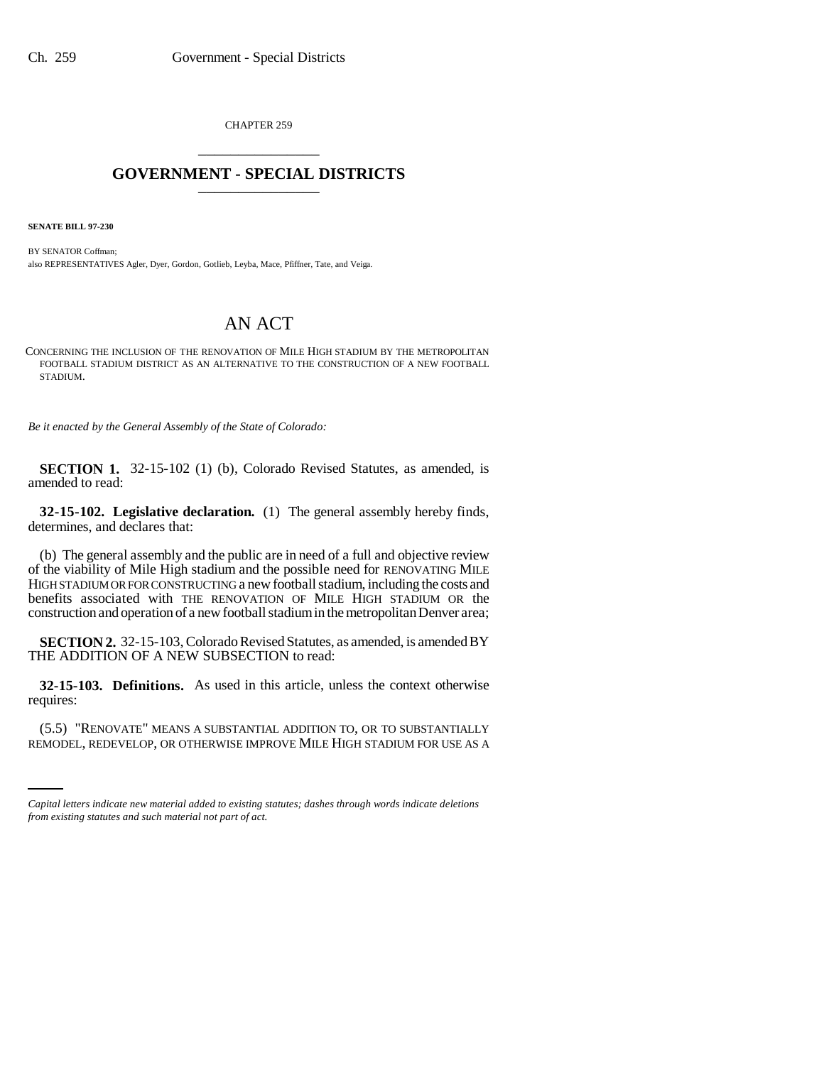CHAPTER 259 \_\_\_\_\_\_\_\_\_\_\_\_\_\_\_

## **GOVERNMENT - SPECIAL DISTRICTS** \_\_\_\_\_\_\_\_\_\_\_\_\_\_\_

**SENATE BILL 97-230**

BY SENATOR Coffman; also REPRESENTATIVES Agler, Dyer, Gordon, Gotlieb, Leyba, Mace, Pfiffner, Tate, and Veiga.

## AN ACT

CONCERNING THE INCLUSION OF THE RENOVATION OF MILE HIGH STADIUM BY THE METROPOLITAN FOOTBALL STADIUM DISTRICT AS AN ALTERNATIVE TO THE CONSTRUCTION OF A NEW FOOTBALL STADIUM.

*Be it enacted by the General Assembly of the State of Colorado:*

**SECTION 1.** 32-15-102 (1) (b), Colorado Revised Statutes, as amended, is amended to read:

**32-15-102. Legislative declaration.** (1) The general assembly hereby finds, determines, and declares that:

(b) The general assembly and the public are in need of a full and objective review of the viability of Mile High stadium and the possible need for RENOVATING MILE HIGH STADIUM OR FOR CONSTRUCTING a new football stadium, including the costs and benefits associated with THE RENOVATION OF MILE HIGH STADIUM OR the construction and operation of a new football stadium in the metropolitan Denver area;

**SECTION 2.** 32-15-103, Colorado Revised Statutes, as amended, is amended BY THE ADDITION OF A NEW SUBSECTION to read:

**32-15-103. Definitions.** As used in this article, unless the context otherwise requires:

(5.5) "RENOVATE" MEANS A SUBSTANTIAL ADDITION TO, OR TO SUBSTANTIALLY REMODEL, REDEVELOP, OR OTHERWISE IMPROVE MILE HIGH STADIUM FOR USE AS A

*Capital letters indicate new material added to existing statutes; dashes through words indicate deletions from existing statutes and such material not part of act.*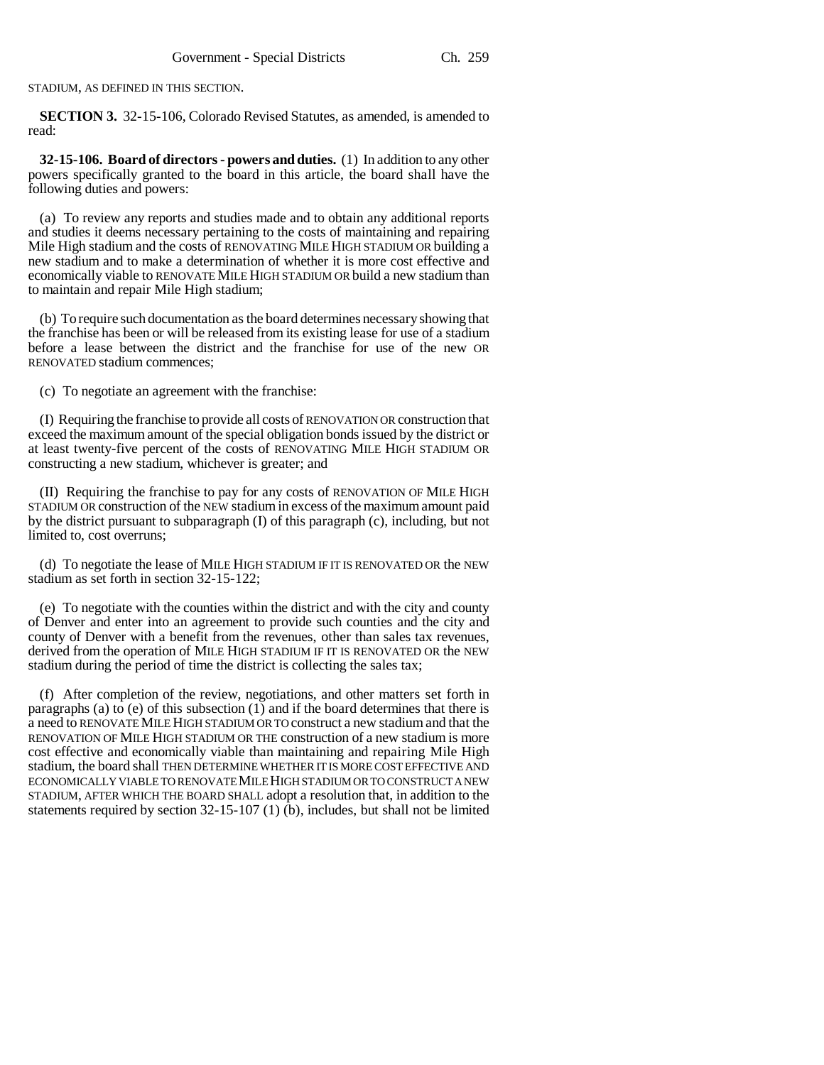STADIUM, AS DEFINED IN THIS SECTION.

**SECTION 3.** 32-15-106, Colorado Revised Statutes, as amended, is amended to read:

**32-15-106. Board of directors - powers and duties.** (1) In addition to any other powers specifically granted to the board in this article, the board shall have the following duties and powers:

(a) To review any reports and studies made and to obtain any additional reports and studies it deems necessary pertaining to the costs of maintaining and repairing Mile High stadium and the costs of RENOVATING MILE HIGH STADIUM OR building a new stadium and to make a determination of whether it is more cost effective and economically viable to RENOVATE MILE HIGH STADIUM OR build a new stadium than to maintain and repair Mile High stadium;

(b) To require such documentation as the board determines necessary showing that the franchise has been or will be released from its existing lease for use of a stadium before a lease between the district and the franchise for use of the new OR RENOVATED stadium commences;

(c) To negotiate an agreement with the franchise:

(I) Requiring the franchise to provide all costs of RENOVATION OR construction that exceed the maximum amount of the special obligation bonds issued by the district or at least twenty-five percent of the costs of RENOVATING MILE HIGH STADIUM OR constructing a new stadium, whichever is greater; and

(II) Requiring the franchise to pay for any costs of RENOVATION OF MILE HIGH STADIUM OR construction of the NEW stadium in excess of the maximum amount paid by the district pursuant to subparagraph (I) of this paragraph (c), including, but not limited to, cost overruns;

(d) To negotiate the lease of MILE HIGH STADIUM IF IT IS RENOVATED OR the NEW stadium as set forth in section 32-15-122;

(e) To negotiate with the counties within the district and with the city and county of Denver and enter into an agreement to provide such counties and the city and county of Denver with a benefit from the revenues, other than sales tax revenues, derived from the operation of MILE HIGH STADIUM IF IT IS RENOVATED OR the NEW stadium during the period of time the district is collecting the sales tax;

(f) After completion of the review, negotiations, and other matters set forth in paragraphs (a) to (e) of this subsection  $(1)$  and if the board determines that there is a need to RENOVATE MILE HIGH STADIUM OR TO construct a new stadium and that the RENOVATION OF MILE HIGH STADIUM OR THE construction of a new stadium is more cost effective and economically viable than maintaining and repairing Mile High stadium, the board shall THEN DETERMINE WHETHER IT IS MORE COST EFFECTIVE AND ECONOMICALLY VIABLE TO RENOVATE MILE HIGH STADIUM OR TO CONSTRUCT A NEW STADIUM, AFTER WHICH THE BOARD SHALL adopt a resolution that, in addition to the statements required by section  $32-15-107(1)$  (b), includes, but shall not be limited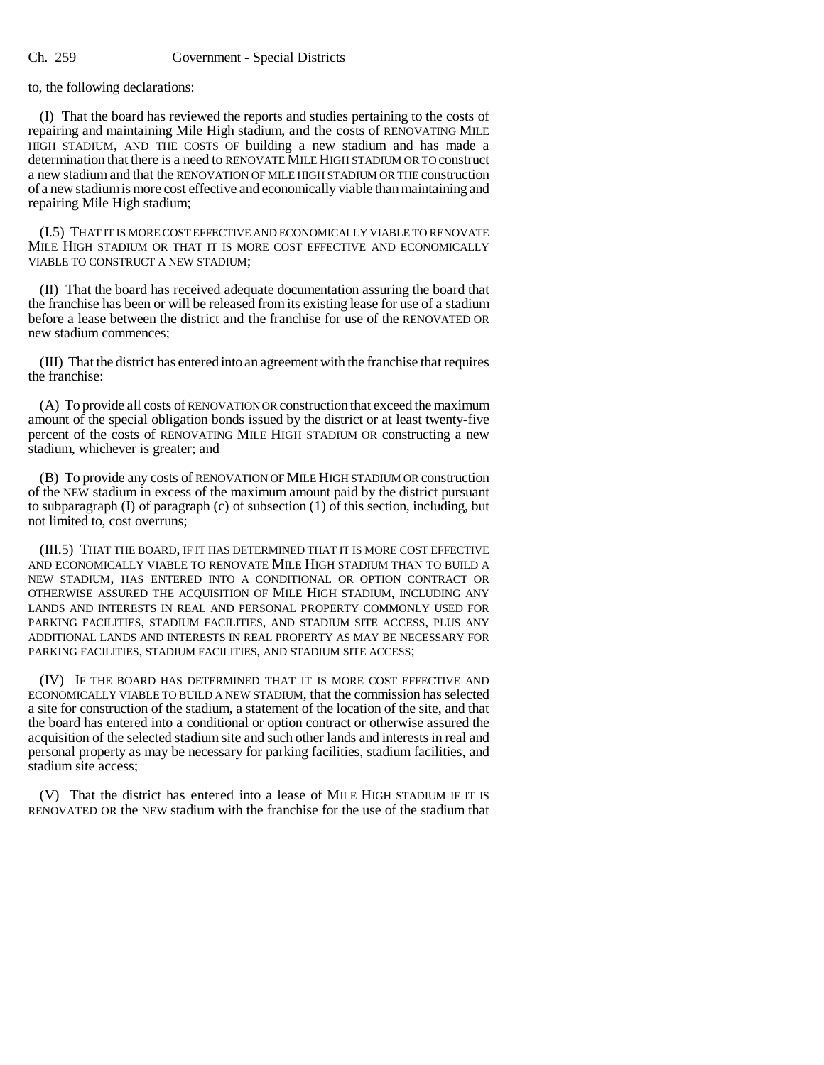to, the following declarations:

(I) That the board has reviewed the reports and studies pertaining to the costs of repairing and maintaining Mile High stadium, and the costs of RENOVATING MILE HIGH STADIUM, AND THE COSTS OF building a new stadium and has made a determination that there is a need to RENOVATE MILE HIGH STADIUM OR TO construct a new stadium and that the RENOVATION OF MILE HIGH STADIUM OR THE construction of a new stadium is more cost effective and economically viable than maintaining and repairing Mile High stadium;

(I.5) THAT IT IS MORE COST EFFECTIVE AND ECONOMICALLY VIABLE TO RENOVATE MILE HIGH STADIUM OR THAT IT IS MORE COST EFFECTIVE AND ECONOMICALLY VIABLE TO CONSTRUCT A NEW STADIUM;

(II) That the board has received adequate documentation assuring the board that the franchise has been or will be released from its existing lease for use of a stadium before a lease between the district and the franchise for use of the RENOVATED OR new stadium commences;

(III) That the district has entered into an agreement with the franchise that requires the franchise:

(A) To provide all costs of RENOVATION OR construction that exceed the maximum amount of the special obligation bonds issued by the district or at least twenty-five percent of the costs of RENOVATING MILE HIGH STADIUM OR constructing a new stadium, whichever is greater; and

(B) To provide any costs of RENOVATION OF MILE HIGH STADIUM OR construction of the NEW stadium in excess of the maximum amount paid by the district pursuant to subparagraph  $(I)$  of paragraph  $(c)$  of subsection  $(1)$  of this section, including, but not limited to, cost overruns;

(III.5) THAT THE BOARD, IF IT HAS DETERMINED THAT IT IS MORE COST EFFECTIVE AND ECONOMICALLY VIABLE TO RENOVATE MILE HIGH STADIUM THAN TO BUILD A NEW STADIUM, HAS ENTERED INTO A CONDITIONAL OR OPTION CONTRACT OR OTHERWISE ASSURED THE ACQUISITION OF MILE HIGH STADIUM, INCLUDING ANY LANDS AND INTERESTS IN REAL AND PERSONAL PROPERTY COMMONLY USED FOR PARKING FACILITIES, STADIUM FACILITIES, AND STADIUM SITE ACCESS, PLUS ANY ADDITIONAL LANDS AND INTERESTS IN REAL PROPERTY AS MAY BE NECESSARY FOR PARKING FACILITIES, STADIUM FACILITIES, AND STADIUM SITE ACCESS;

(IV) IF THE BOARD HAS DETERMINED THAT IT IS MORE COST EFFECTIVE AND ECONOMICALLY VIABLE TO BUILD A NEW STADIUM, that the commission has selected a site for construction of the stadium, a statement of the location of the site, and that the board has entered into a conditional or option contract or otherwise assured the acquisition of the selected stadium site and such other lands and interests in real and personal property as may be necessary for parking facilities, stadium facilities, and stadium site access;

(V) That the district has entered into a lease of MILE HIGH STADIUM IF IT IS RENOVATED OR the NEW stadium with the franchise for the use of the stadium that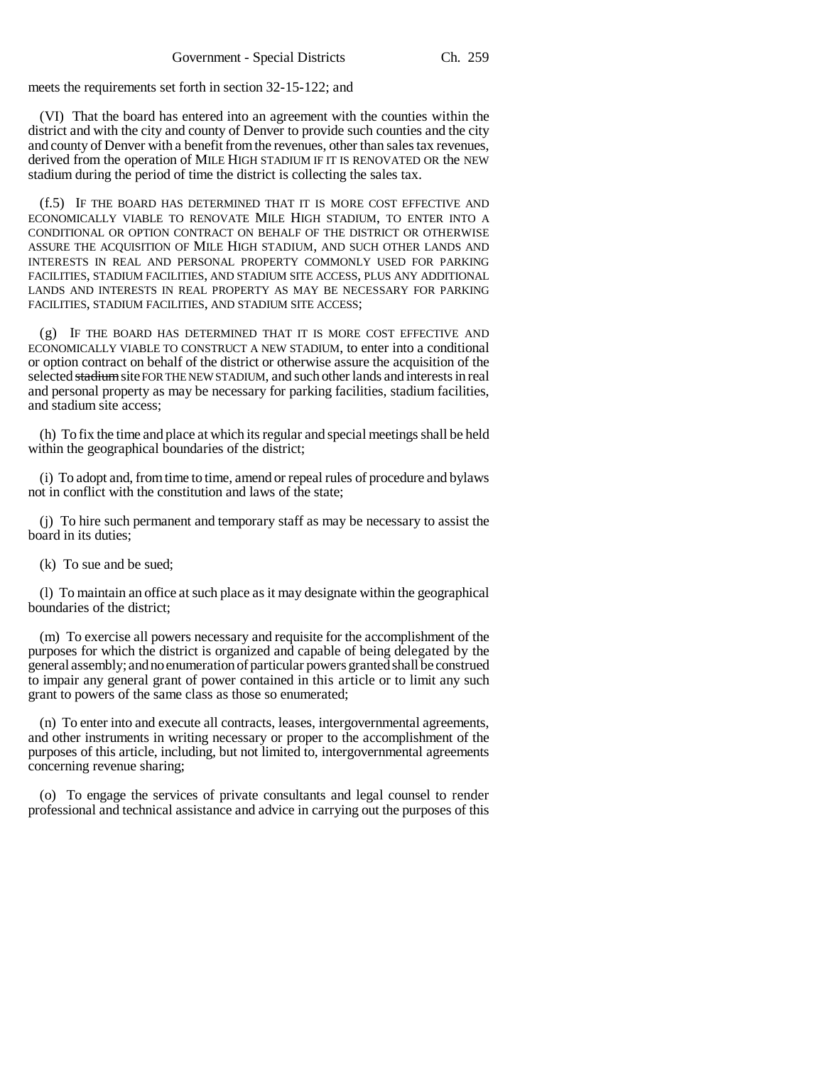meets the requirements set forth in section 32-15-122; and

(VI) That the board has entered into an agreement with the counties within the district and with the city and county of Denver to provide such counties and the city and county of Denver with a benefit from the revenues, other than sales tax revenues, derived from the operation of MILE HIGH STADIUM IF IT IS RENOVATED OR the NEW stadium during the period of time the district is collecting the sales tax.

(f.5) IF THE BOARD HAS DETERMINED THAT IT IS MORE COST EFFECTIVE AND ECONOMICALLY VIABLE TO RENOVATE MILE HIGH STADIUM, TO ENTER INTO A CONDITIONAL OR OPTION CONTRACT ON BEHALF OF THE DISTRICT OR OTHERWISE ASSURE THE ACQUISITION OF MILE HIGH STADIUM, AND SUCH OTHER LANDS AND INTERESTS IN REAL AND PERSONAL PROPERTY COMMONLY USED FOR PARKING FACILITIES, STADIUM FACILITIES, AND STADIUM SITE ACCESS, PLUS ANY ADDITIONAL LANDS AND INTERESTS IN REAL PROPERTY AS MAY BE NECESSARY FOR PARKING FACILITIES, STADIUM FACILITIES, AND STADIUM SITE ACCESS;

(g) IF THE BOARD HAS DETERMINED THAT IT IS MORE COST EFFECTIVE AND ECONOMICALLY VIABLE TO CONSTRUCT A NEW STADIUM, to enter into a conditional or option contract on behalf of the district or otherwise assure the acquisition of the selected stadium site FOR THE NEW STADIUM, and such other lands and interests in real and personal property as may be necessary for parking facilities, stadium facilities, and stadium site access;

(h) To fix the time and place at which its regular and special meetings shall be held within the geographical boundaries of the district;

(i) To adopt and, from time to time, amend or repeal rules of procedure and bylaws not in conflict with the constitution and laws of the state;

(j) To hire such permanent and temporary staff as may be necessary to assist the board in its duties;

(k) To sue and be sued;

(l) To maintain an office at such place as it may designate within the geographical boundaries of the district;

(m) To exercise all powers necessary and requisite for the accomplishment of the purposes for which the district is organized and capable of being delegated by the general assembly; and no enumeration of particular powers granted shall be construed to impair any general grant of power contained in this article or to limit any such grant to powers of the same class as those so enumerated;

(n) To enter into and execute all contracts, leases, intergovernmental agreements, and other instruments in writing necessary or proper to the accomplishment of the purposes of this article, including, but not limited to, intergovernmental agreements concerning revenue sharing;

(o) To engage the services of private consultants and legal counsel to render professional and technical assistance and advice in carrying out the purposes of this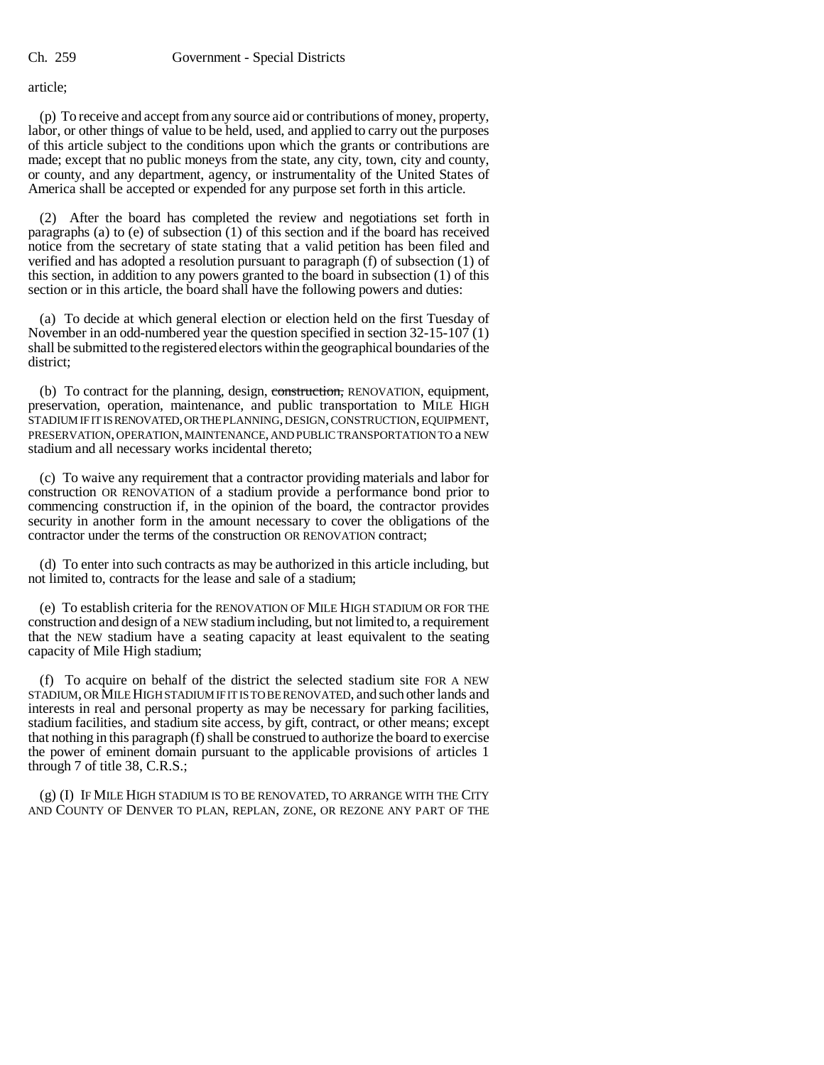article;

(p) To receive and accept from any source aid or contributions of money, property, labor, or other things of value to be held, used, and applied to carry out the purposes of this article subject to the conditions upon which the grants or contributions are made; except that no public moneys from the state, any city, town, city and county, or county, and any department, agency, or instrumentality of the United States of America shall be accepted or expended for any purpose set forth in this article.

(2) After the board has completed the review and negotiations set forth in paragraphs (a) to (e) of subsection (1) of this section and if the board has received notice from the secretary of state stating that a valid petition has been filed and verified and has adopted a resolution pursuant to paragraph (f) of subsection (1) of this section, in addition to any powers granted to the board in subsection (1) of this section or in this article, the board shall have the following powers and duties:

(a) To decide at which general election or election held on the first Tuesday of November in an odd-numbered year the question specified in section 32-15-107 (1) shall be submitted to the registered electors within the geographical boundaries of the district;

(b) To contract for the planning, design, construction, RENOVATION, equipment, preservation, operation, maintenance, and public transportation to MILE HIGH STADIUM IF IT IS RENOVATED, OR THE PLANNING, DESIGN, CONSTRUCTION, EQUIPMENT, PRESERVATION, OPERATION, MAINTENANCE, AND PUBLIC TRANSPORTATION TO a NEW stadium and all necessary works incidental thereto;

(c) To waive any requirement that a contractor providing materials and labor for construction OR RENOVATION of a stadium provide a performance bond prior to commencing construction if, in the opinion of the board, the contractor provides security in another form in the amount necessary to cover the obligations of the contractor under the terms of the construction OR RENOVATION contract;

(d) To enter into such contracts as may be authorized in this article including, but not limited to, contracts for the lease and sale of a stadium;

(e) To establish criteria for the RENOVATION OF MILE HIGH STADIUM OR FOR THE construction and design of a NEW stadium including, but not limited to, a requirement that the NEW stadium have a seating capacity at least equivalent to the seating capacity of Mile High stadium;

(f) To acquire on behalf of the district the selected stadium site FOR A NEW STADIUM, OR MILE HIGH STADIUM IF IT IS TO BE RENOVATED, and such other lands and interests in real and personal property as may be necessary for parking facilities, stadium facilities, and stadium site access, by gift, contract, or other means; except that nothing in this paragraph (f) shall be construed to authorize the board to exercise the power of eminent domain pursuant to the applicable provisions of articles 1 through 7 of title 38, C.R.S.;

(g) (I) IF MILE HIGH STADIUM IS TO BE RENOVATED, TO ARRANGE WITH THE CITY AND COUNTY OF DENVER TO PLAN, REPLAN, ZONE, OR REZONE ANY PART OF THE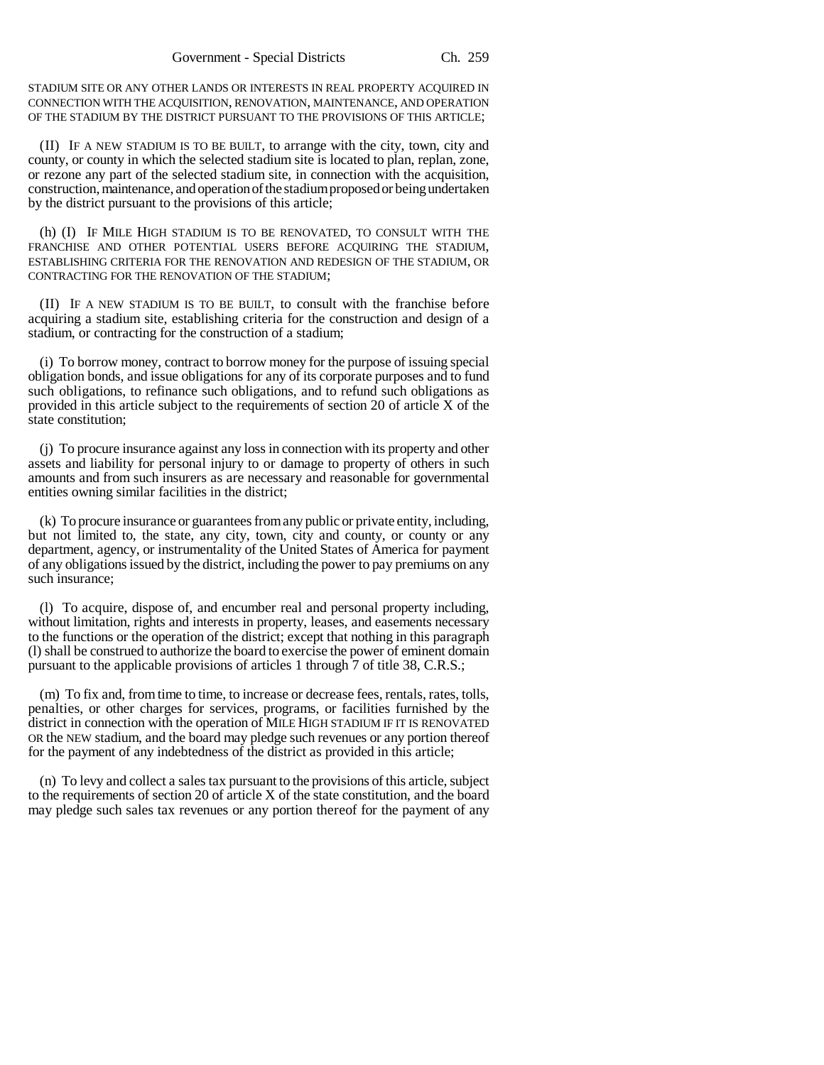STADIUM SITE OR ANY OTHER LANDS OR INTERESTS IN REAL PROPERTY ACQUIRED IN CONNECTION WITH THE ACQUISITION, RENOVATION, MAINTENANCE, AND OPERATION OF THE STADIUM BY THE DISTRICT PURSUANT TO THE PROVISIONS OF THIS ARTICLE;

(II) IF A NEW STADIUM IS TO BE BUILT, to arrange with the city, town, city and county, or county in which the selected stadium site is located to plan, replan, zone, or rezone any part of the selected stadium site, in connection with the acquisition, construction, maintenance, and operation of the stadium proposed or being undertaken by the district pursuant to the provisions of this article;

(h) (I) IF MILE HIGH STADIUM IS TO BE RENOVATED, TO CONSULT WITH THE FRANCHISE AND OTHER POTENTIAL USERS BEFORE ACQUIRING THE STADIUM, ESTABLISHING CRITERIA FOR THE RENOVATION AND REDESIGN OF THE STADIUM, OR CONTRACTING FOR THE RENOVATION OF THE STADIUM;

(II) IF A NEW STADIUM IS TO BE BUILT, to consult with the franchise before acquiring a stadium site, establishing criteria for the construction and design of a stadium, or contracting for the construction of a stadium;

(i) To borrow money, contract to borrow money for the purpose of issuing special obligation bonds, and issue obligations for any of its corporate purposes and to fund such obligations, to refinance such obligations, and to refund such obligations as provided in this article subject to the requirements of section 20 of article X of the state constitution;

(j) To procure insurance against any loss in connection with its property and other assets and liability for personal injury to or damage to property of others in such amounts and from such insurers as are necessary and reasonable for governmental entities owning similar facilities in the district;

(k) To procure insurance or guarantees from any public or private entity, including, but not limited to, the state, any city, town, city and county, or county or any department, agency, or instrumentality of the United States of America for payment of any obligations issued by the district, including the power to pay premiums on any such insurance;

(l) To acquire, dispose of, and encumber real and personal property including, without limitation, rights and interests in property, leases, and easements necessary to the functions or the operation of the district; except that nothing in this paragraph (l) shall be construed to authorize the board to exercise the power of eminent domain pursuant to the applicable provisions of articles 1 through 7 of title 38, C.R.S.;

(m) To fix and, from time to time, to increase or decrease fees, rentals, rates, tolls, penalties, or other charges for services, programs, or facilities furnished by the district in connection with the operation of MILE HIGH STADIUM IF IT IS RENOVATED OR the NEW stadium, and the board may pledge such revenues or any portion thereof for the payment of any indebtedness of the district as provided in this article;

(n) To levy and collect a sales tax pursuant to the provisions of this article, subject to the requirements of section 20 of article X of the state constitution, and the board may pledge such sales tax revenues or any portion thereof for the payment of any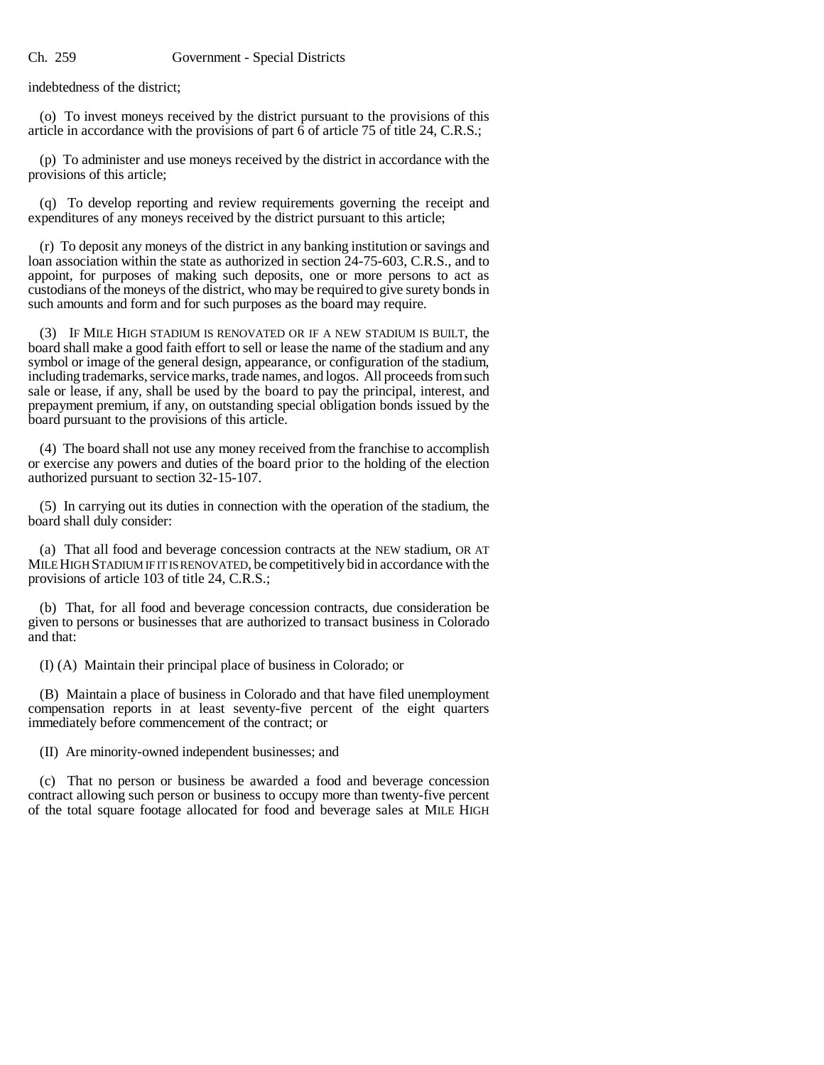indebtedness of the district;

(o) To invest moneys received by the district pursuant to the provisions of this article in accordance with the provisions of part  $\bar{6}$  of article 75 of title 24, C.R.S.;

(p) To administer and use moneys received by the district in accordance with the provisions of this article;

(q) To develop reporting and review requirements governing the receipt and expenditures of any moneys received by the district pursuant to this article;

(r) To deposit any moneys of the district in any banking institution or savings and loan association within the state as authorized in section 24-75-603, C.R.S., and to appoint, for purposes of making such deposits, one or more persons to act as custodians of the moneys of the district, who may be required to give surety bonds in such amounts and form and for such purposes as the board may require.

(3) IF MILE HIGH STADIUM IS RENOVATED OR IF A NEW STADIUM IS BUILT, the board shall make a good faith effort to sell or lease the name of the stadium and any symbol or image of the general design, appearance, or configuration of the stadium, including trademarks, service marks, trade names, and logos. All proceeds from such sale or lease, if any, shall be used by the board to pay the principal, interest, and prepayment premium, if any, on outstanding special obligation bonds issued by the board pursuant to the provisions of this article.

(4) The board shall not use any money received from the franchise to accomplish or exercise any powers and duties of the board prior to the holding of the election authorized pursuant to section 32-15-107.

(5) In carrying out its duties in connection with the operation of the stadium, the board shall duly consider:

(a) That all food and beverage concession contracts at the NEW stadium, OR AT MILE HIGH STADIUM IF IT IS RENOVATED, be competitively bid in accordance with the provisions of article 103 of title 24, C.R.S.;

(b) That, for all food and beverage concession contracts, due consideration be given to persons or businesses that are authorized to transact business in Colorado and that:

(I) (A) Maintain their principal place of business in Colorado; or

(B) Maintain a place of business in Colorado and that have filed unemployment compensation reports in at least seventy-five percent of the eight quarters immediately before commencement of the contract; or

(II) Are minority-owned independent businesses; and

(c) That no person or business be awarded a food and beverage concession contract allowing such person or business to occupy more than twenty-five percent of the total square footage allocated for food and beverage sales at MILE HIGH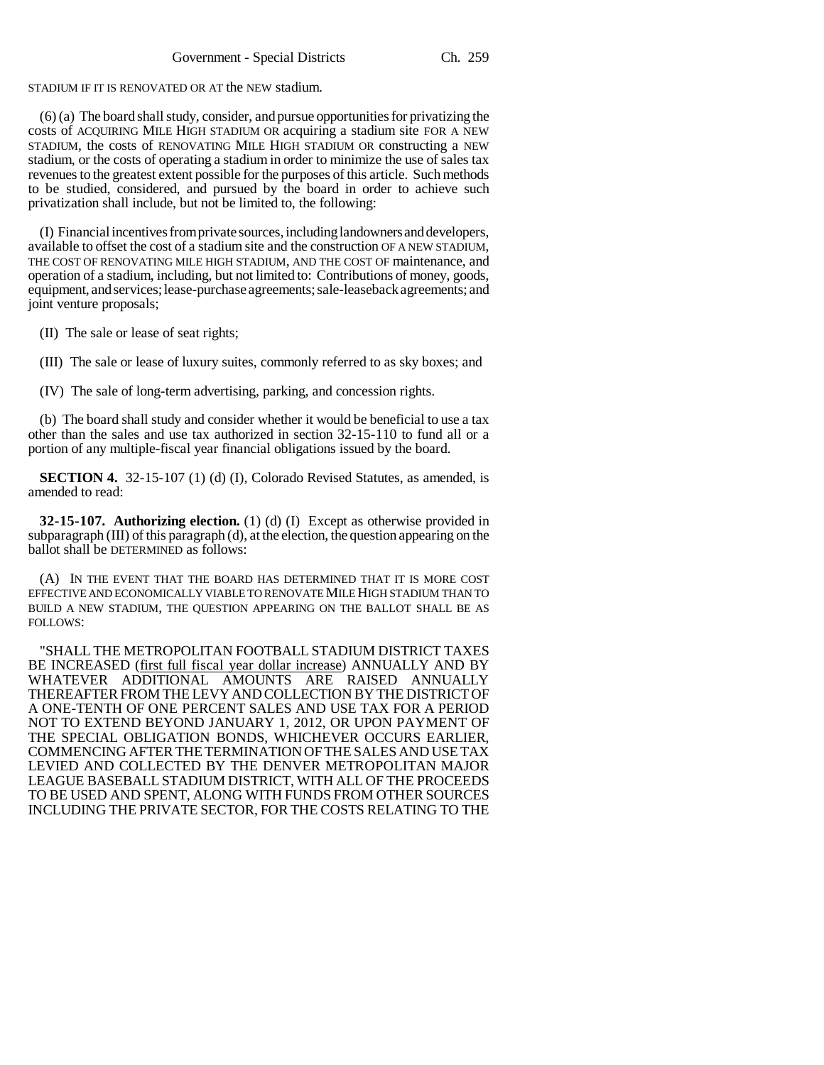STADIUM IF IT IS RENOVATED OR AT the NEW stadium.

(6) (a) The board shall study, consider, and pursue opportunities for privatizing the costs of ACQUIRING MILE HIGH STADIUM OR acquiring a stadium site FOR A NEW STADIUM, the costs of RENOVATING MILE HIGH STADIUM OR constructing a NEW stadium, or the costs of operating a stadium in order to minimize the use of sales tax revenues to the greatest extent possible for the purposes of this article. Such methods to be studied, considered, and pursued by the board in order to achieve such privatization shall include, but not be limited to, the following:

(I) Financial incentives from private sources, including landowners and developers, available to offset the cost of a stadium site and the construction OF A NEW STADIUM, THE COST OF RENOVATING MILE HIGH STADIUM, AND THE COST OF maintenance, and operation of a stadium, including, but not limited to: Contributions of money, goods, equipment, and services; lease-purchase agreements; sale-leaseback agreements; and joint venture proposals;

(II) The sale or lease of seat rights;

(III) The sale or lease of luxury suites, commonly referred to as sky boxes; and

(IV) The sale of long-term advertising, parking, and concession rights.

(b) The board shall study and consider whether it would be beneficial to use a tax other than the sales and use tax authorized in section 32-15-110 to fund all or a portion of any multiple-fiscal year financial obligations issued by the board.

**SECTION 4.** 32-15-107 (1) (d) (I), Colorado Revised Statutes, as amended, is amended to read:

**32-15-107. Authorizing election.** (1) (d) (I) Except as otherwise provided in subparagraph (III) of this paragraph (d), at the election, the question appearing on the ballot shall be DETERMINED as follows:

(A) IN THE EVENT THAT THE BOARD HAS DETERMINED THAT IT IS MORE COST EFFECTIVE AND ECONOMICALLY VIABLE TO RENOVATE MILE HIGH STADIUM THAN TO BUILD A NEW STADIUM, THE QUESTION APPEARING ON THE BALLOT SHALL BE AS FOLLOWS:

"SHALL THE METROPOLITAN FOOTBALL STADIUM DISTRICT TAXES BE INCREASED (first full fiscal year dollar increase) ANNUALLY AND BY WHATEVER ADDITIONAL AMOUNTS ARE RAISED ANNUALLY THEREAFTER FROM THE LEVY AND COLLECTION BY THE DISTRICT OF A ONE-TENTH OF ONE PERCENT SALES AND USE TAX FOR A PERIOD NOT TO EXTEND BEYOND JANUARY 1, 2012, OR UPON PAYMENT OF THE SPECIAL OBLIGATION BONDS, WHICHEVER OCCURS EARLIER, COMMENCING AFTER THE TERMINATION OF THE SALES AND USE TAX LEVIED AND COLLECTED BY THE DENVER METROPOLITAN MAJOR LEAGUE BASEBALL STADIUM DISTRICT, WITH ALL OF THE PROCEEDS TO BE USED AND SPENT, ALONG WITH FUNDS FROM OTHER SOURCES INCLUDING THE PRIVATE SECTOR, FOR THE COSTS RELATING TO THE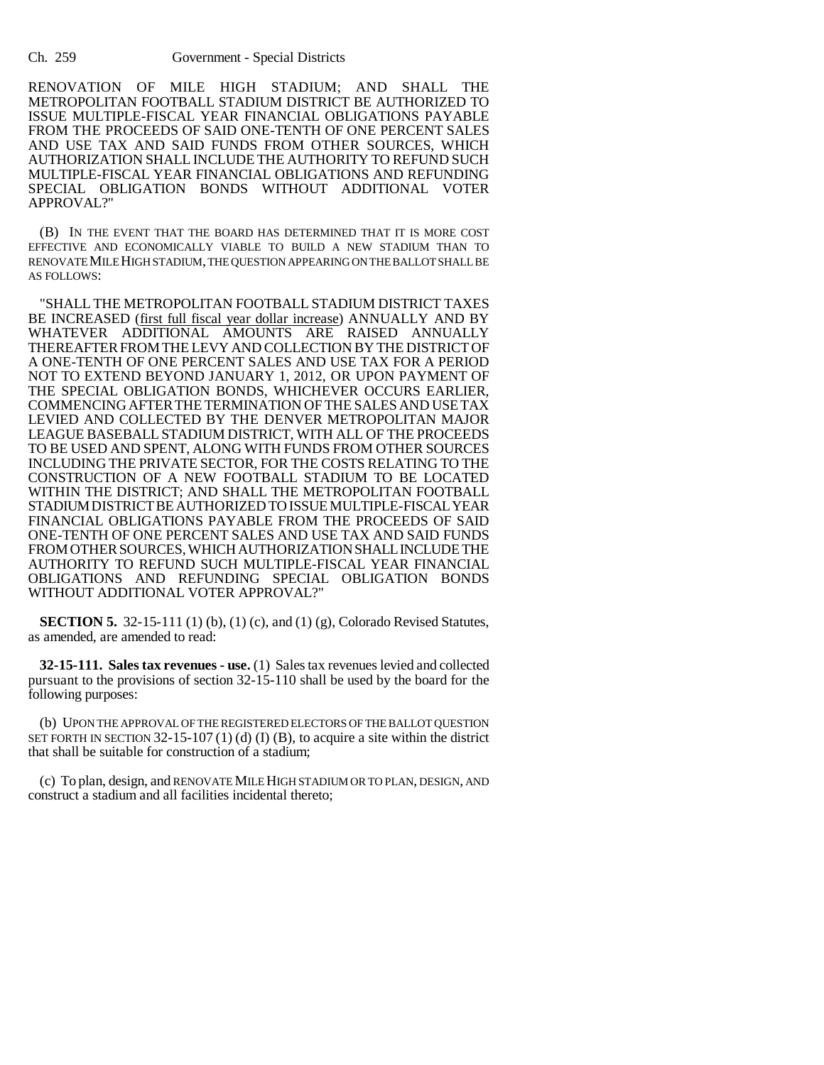RENOVATION OF MILE HIGH STADIUM; AND SHALL THE METROPOLITAN FOOTBALL STADIUM DISTRICT BE AUTHORIZED TO ISSUE MULTIPLE-FISCAL YEAR FINANCIAL OBLIGATIONS PAYABLE FROM THE PROCEEDS OF SAID ONE-TENTH OF ONE PERCENT SALES AND USE TAX AND SAID FUNDS FROM OTHER SOURCES, WHICH AUTHORIZATION SHALL INCLUDE THE AUTHORITY TO REFUND SUCH MULTIPLE-FISCAL YEAR FINANCIAL OBLIGATIONS AND REFUNDING SPECIAL OBLIGATION BONDS WITHOUT ADDITIONAL VOTER APPROVAL?"

(B) IN THE EVENT THAT THE BOARD HAS DETERMINED THAT IT IS MORE COST EFFECTIVE AND ECONOMICALLY VIABLE TO BUILD A NEW STADIUM THAN TO RENOVATE MILE HIGH STADIUM, THE QUESTION APPEARING ON THE BALLOT SHALL BE AS FOLLOWS:

"SHALL THE METROPOLITAN FOOTBALL STADIUM DISTRICT TAXES BE INCREASED (first full fiscal year dollar increase) ANNUALLY AND BY WHATEVER ADDITIONAL AMOUNTS ARE RAISED ANNUALLY THEREAFTER FROM THE LEVY AND COLLECTION BY THE DISTRICT OF A ONE-TENTH OF ONE PERCENT SALES AND USE TAX FOR A PERIOD NOT TO EXTEND BEYOND JANUARY 1, 2012, OR UPON PAYMENT OF THE SPECIAL OBLIGATION BONDS, WHICHEVER OCCURS EARLIER, COMMENCING AFTER THE TERMINATION OF THE SALES AND USE TAX LEVIED AND COLLECTED BY THE DENVER METROPOLITAN MAJOR LEAGUE BASEBALL STADIUM DISTRICT, WITH ALL OF THE PROCEEDS TO BE USED AND SPENT, ALONG WITH FUNDS FROM OTHER SOURCES INCLUDING THE PRIVATE SECTOR, FOR THE COSTS RELATING TO THE CONSTRUCTION OF A NEW FOOTBALL STADIUM TO BE LOCATED WITHIN THE DISTRICT; AND SHALL THE METROPOLITAN FOOTBALL STADIUM DISTRICT BE AUTHORIZED TO ISSUE MULTIPLE-FISCAL YEAR FINANCIAL OBLIGATIONS PAYABLE FROM THE PROCEEDS OF SAID ONE-TENTH OF ONE PERCENT SALES AND USE TAX AND SAID FUNDS FROM OTHER SOURCES, WHICH AUTHORIZATION SHALL INCLUDE THE AUTHORITY TO REFUND SUCH MULTIPLE-FISCAL YEAR FINANCIAL OBLIGATIONS AND REFUNDING SPECIAL OBLIGATION BONDS WITHOUT ADDITIONAL VOTER APPROVAL?"

**SECTION 5.** 32-15-111 (1) (b), (1) (c), and (1) (g), Colorado Revised Statutes, as amended, are amended to read:

**32-15-111. Sales tax revenues - use.** (1) Sales tax revenues levied and collected pursuant to the provisions of section 32-15-110 shall be used by the board for the following purposes:

(b) UPON THE APPROVAL OF THE REGISTERED ELECTORS OF THE BALLOT QUESTION SET FORTH IN SECTION 32-15-107 (1) (d) (I) (B), to acquire a site within the district that shall be suitable for construction of a stadium;

(c) To plan, design, and RENOVATE MILE HIGH STADIUM OR TO PLAN, DESIGN, AND construct a stadium and all facilities incidental thereto;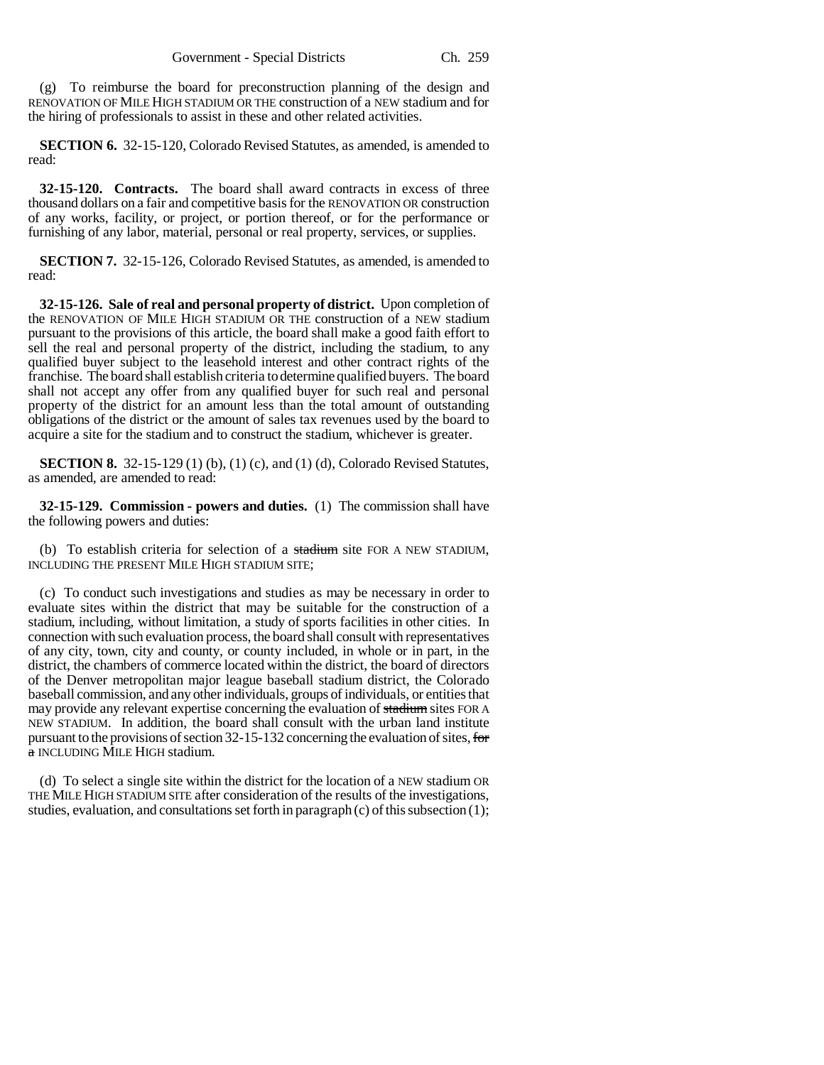(g) To reimburse the board for preconstruction planning of the design and RENOVATION OF MILE HIGH STADIUM OR THE construction of a NEW stadium and for the hiring of professionals to assist in these and other related activities.

**SECTION 6.** 32-15-120, Colorado Revised Statutes, as amended, is amended to read:

**32-15-120. Contracts.** The board shall award contracts in excess of three thousand dollars on a fair and competitive basis for the RENOVATION OR construction of any works, facility, or project, or portion thereof, or for the performance or furnishing of any labor, material, personal or real property, services, or supplies.

**SECTION 7.** 32-15-126, Colorado Revised Statutes, as amended, is amended to read:

**32-15-126. Sale of real and personal property of district.** Upon completion of the RENOVATION OF MILE HIGH STADIUM OR THE construction of a NEW stadium pursuant to the provisions of this article, the board shall make a good faith effort to sell the real and personal property of the district, including the stadium, to any qualified buyer subject to the leasehold interest and other contract rights of the franchise. The board shall establish criteria to determine qualified buyers. The board shall not accept any offer from any qualified buyer for such real and personal property of the district for an amount less than the total amount of outstanding obligations of the district or the amount of sales tax revenues used by the board to acquire a site for the stadium and to construct the stadium, whichever is greater.

**SECTION 8.** 32-15-129 (1) (b), (1) (c), and (1) (d), Colorado Revised Statutes, as amended, are amended to read:

**32-15-129. Commission - powers and duties.** (1) The commission shall have the following powers and duties:

(b) To establish criteria for selection of a stadium site FOR A NEW STADIUM, INCLUDING THE PRESENT MILE HIGH STADIUM SITE;

(c) To conduct such investigations and studies as may be necessary in order to evaluate sites within the district that may be suitable for the construction of a stadium, including, without limitation, a study of sports facilities in other cities. In connection with such evaluation process, the board shall consult with representatives of any city, town, city and county, or county included, in whole or in part, in the district, the chambers of commerce located within the district, the board of directors of the Denver metropolitan major league baseball stadium district, the Colorado baseball commission, and any other individuals, groups of individuals, or entities that may provide any relevant expertise concerning the evaluation of stadium sites FOR A NEW STADIUM. In addition, the board shall consult with the urban land institute pursuant to the provisions of section 32-15-132 concerning the evaluation of sites, for a INCLUDING MILE HIGH stadium.

(d) To select a single site within the district for the location of a NEW stadium OR THE MILE HIGH STADIUM SITE after consideration of the results of the investigations, studies, evaluation, and consultations set forth in paragraph (c) of this subsection (1);